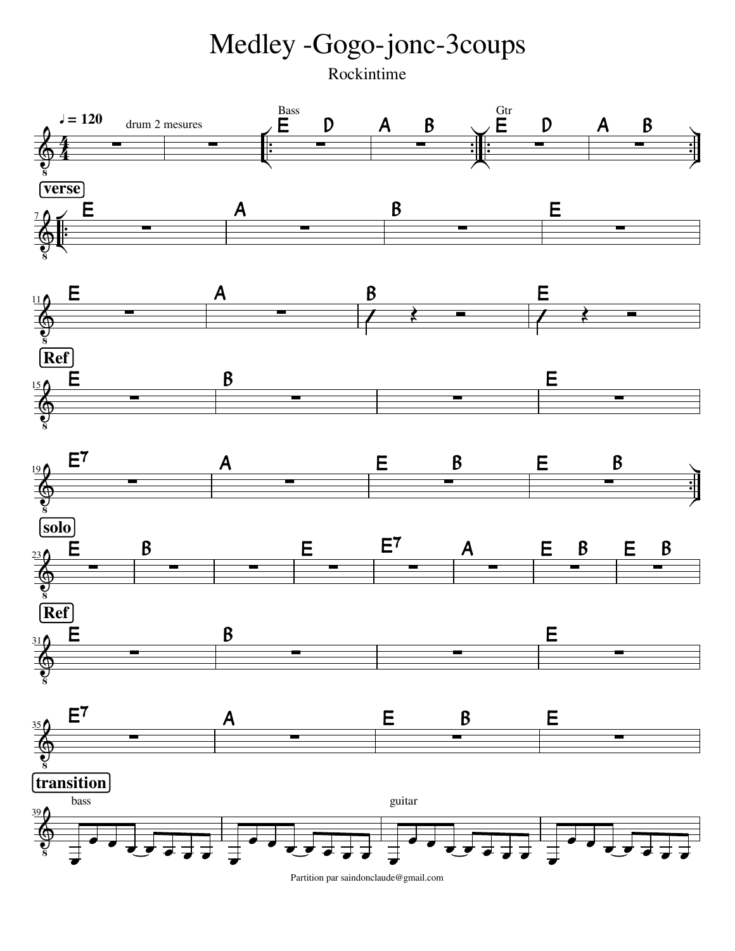Medley -Gogo-jonc-3coups Rockintime